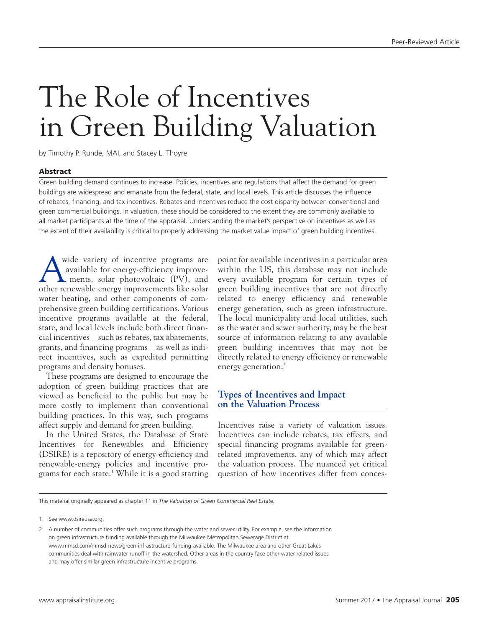# The Role of Incentives in Green Building Valuation

by Timothy P. Runde, MAI, and Stacey L. Thoyre

## Abstract

Green building demand continues to increase. Policies, incentives and regulations that affect the demand for green buildings are widespread and emanate from the federal, state, and local levels. This article discusses the influence of rebates, financing, and tax incentives. Rebates and incentives reduce the cost disparity between conventional and green commercial buildings. In valuation, these should be considered to the extent they are commonly available to all market participants at the time of the appraisal. Understanding the market's perspective on incentives as well as the extent of their availability is critical to properly addressing the market value impact of green building incentives.

wide variety of incentive programs are<br>available for energy-efficiency improve-<br>ments, solar photovoltaic (PV), and available for energy-efficiency improve ments, solar photovoltaic (PV), and other renewable energy improvements like solar water heating, and other components of comprehensive green building certifications. Various incentive programs available at the federal, state, and local levels include both direct financial incentives—such as rebates, tax abatements, grants, and financing programs—as well as indirect incentives, such as expedited permitting programs and density bonuses.

These programs are designed to encourage the adoption of green building practices that are viewed as beneficial to the public but may be more costly to implement than conventional building practices. In this way, such programs affect supply and demand for green building.

In the United States, the Database of State Incentives for Renewables and Efficiency (DSIRE) is a repository of energy-efficiency and renewable-energy policies and incentive programs for each state.1 While it is a good starting

point for available incentives in a particular area within the US, this database may not include every available program for certain types of green building incentives that are not directly related to energy efficiency and renewable energy generation, such as green infrastructure. The local municipality and local utilities, such as the water and sewer authority, may be the best source of information relating to any available green building incentives that may not be directly related to energy efficiency or renewable energy generation.<sup>2</sup>

# **Types of Incentives and Impact on the Valuation Process**

Incentives raise a variety of valuation issues. Incentives can include rebates, tax effects, and special financing programs available for greenrelated improvements, any of which may affect the valuation process. The nuanced yet critical question of how incentives differ from conces-

This material originally appeared as chapter 11 in *The Valuation of Green Commercial Real Estate*.

<sup>1.</sup> See<www.dsireusa.org>.

<sup>2.</sup> A number of communities offer such programs through the water and sewer utility. For example, see the information on green infrastructure funding available through the Milwaukee Metropolitan Sewerage District at [www.mmsd.com/mmsd-news/green](www.mmsd.com/mmsd-news/green-infrastructure-funding-available)-infrastructure-funding-available. The Milwaukee area and other Great Lakes communities deal with rainwater runoff in the watershed. Other areas in the country face other water-related issues and may offer similar green infrastructure incentive programs.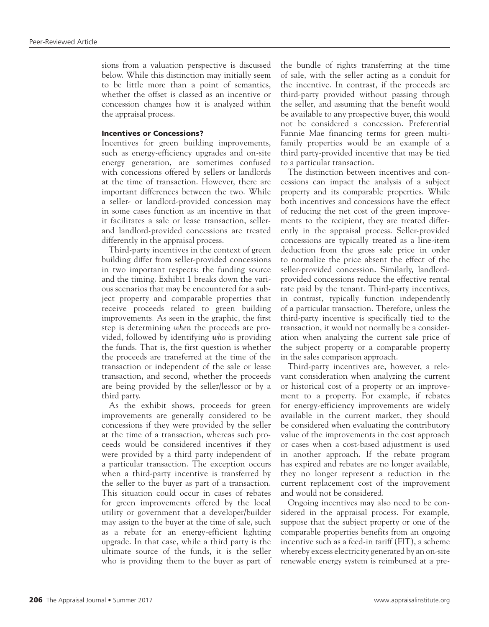sions from a valuation perspective is discussed below. While this distinction may initially seem to be little more than a point of semantics, whether the offset is classed as an incentive or concession changes how it is analyzed within the appraisal process.

## Incentives or Concessions?

Incentives for green building improvements, such as energy-efficiency upgrades and on-site energy generation, are sometimes confused with concessions offered by sellers or landlords at the time of transaction. However, there are important differences between the two. While a seller- or landlord-provided concession may in some cases function as an incentive in that it facilitates a sale or lease transaction, sellerand landlord-provided concessions are treated differently in the appraisal process.

Third-party incentives in the context of green building differ from seller-provided concessions in two important respects: the funding source and the timing. Exhibit 1 breaks down the various scenarios that may be encountered for a subject property and comparable properties that receive proceeds related to green building improvements. As seen in the graphic, the first step is determining *when* the proceeds are provided, followed by identifying *who* is providing the funds. That is, the first question is whether the proceeds are transferred at the time of the transaction or independent of the sale or lease transaction, and second, whether the proceeds are being provided by the seller/lessor or by a third party.

As the exhibit shows, proceeds for green improvements are generally considered to be concessions if they were provided by the seller at the time of a transaction, whereas such proceeds would be considered incentives if they were provided by a third party independent of a particular transaction. The exception occurs when a third-party incentive is transferred by the seller to the buyer as part of a transaction. This situation could occur in cases of rebates for green improvements offered by the local utility or government that a developer/builder may assign to the buyer at the time of sale, such as a rebate for an energy-efficient lighting upgrade. In that case, while a third party is the ultimate source of the funds, it is the seller who is providing them to the buyer as part of the bundle of rights transferring at the time of sale, with the seller acting as a conduit for the incentive. In contrast, if the proceeds are third-party provided without passing through the seller, and assuming that the benefit would be available to any prospective buyer, this would not be considered a concession. Preferential Fannie Mae financing terms for green multifamily properties would be an example of a third party-provided incentive that may be tied to a particular transaction.

The distinction between incentives and concessions can impact the analysis of a subject property and its comparable properties. While both incentives and concessions have the effect of reducing the net cost of the green improvements to the recipient, they are treated differently in the appraisal process. Seller-provided concessions are typically treated as a line-item deduction from the gross sale price in order to normalize the price absent the effect of the seller-provided concession. Similarly, landlordprovided concessions reduce the effective rental rate paid by the tenant. Third-party incentives, in contrast, typically function independently of a particular transaction. Therefore, unless the third-party incentive is specifically tied to the transaction, it would not normally be a consideration when analyzing the current sale price of the subject property or a comparable property in the sales comparison approach.

Third-party incentives are, however, a relevant consideration when analyzing the current or historical cost of a property or an improvement to a property. For example, if rebates for energy-efficiency improvements are widely available in the current market, they should be considered when evaluating the contributory value of the improvements in the cost approach or cases when a cost-based adjustment is used in another approach. If the rebate program has expired and rebates are no longer available, they no longer represent a reduction in the current replacement cost of the improvement and would not be considered.

Ongoing incentives may also need to be considered in the appraisal process. For example, suppose that the subject property or one of the comparable properties benefits from an ongoing incentive such as a feed-in tariff (FIT), a scheme whereby excess electricity generated by an on-site renewable energy system is reimbursed at a pre-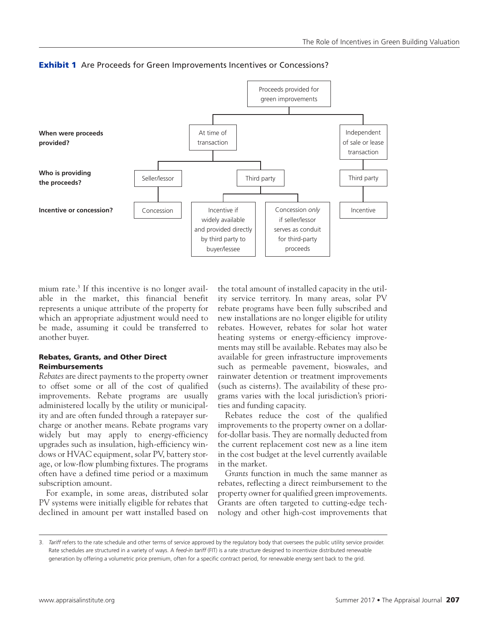

**Exhibit 1** Are Proceeds for Green Improvements Incentives or Concessions?

mium rate.3 If this incentive is no longer available in the market, this financial benefit represents a unique attribute of the property for which an appropriate adjustment would need to be made, assuming it could be transferred to another buyer.

# Rebates, Grants, and Other Direct Reimbursements

*Rebates* are direct payments to the property owner to offset some or all of the cost of qualified improvements. Rebate programs are usually administered locally by the utility or municipality and are often funded through a ratepayer surcharge or another means. Rebate programs vary widely but may apply to energy-efficiency upgrades such as insulation, high-efficiency windows or HVAC equipment, solar PV, battery storage, or low-flow plumbing fixtures. The programs often have a defined time period or a maximum subscription amount.

For example, in some areas, distributed solar PV systems were initially eligible for rebates that declined in amount per watt installed based on

the total amount of installed capacity in the utility service territory. In many areas, solar PV rebate programs have been fully subscribed and new installations are no longer eligible for utility rebates. However, rebates for solar hot water heating systems or energy-efficiency improvements may still be available. Rebates may also be available for green infrastructure improvements such as permeable pavement, bioswales, and rainwater detention or treatment improvements (such as cisterns). The availability of these programs varies with the local jurisdiction's priorities and funding capacity.

Rebates reduce the cost of the qualified improvements to the property owner on a dollarfor-dollar basis. They are normally deducted from the current replacement cost new as a line item in the cost budget at the level currently available in the market.

*Grants* function in much the same manner as rebates, reflecting a direct reimbursement to the property owner for qualified green improvements. Grants are often targeted to cutting-edge technology and other high-cost improvements that

<sup>3.</sup> *Tariff* refers to the rate schedule and other terms of service approved by the regulatory body that oversees the public utility service provider. Rate schedules are structured in a variety of ways. A *feed-in tariff* (FIT) is a rate structure designed to incentivize distributed renewable generation by offering a volumetric price premium, often for a specific contract period, for renewable energy sent back to the grid.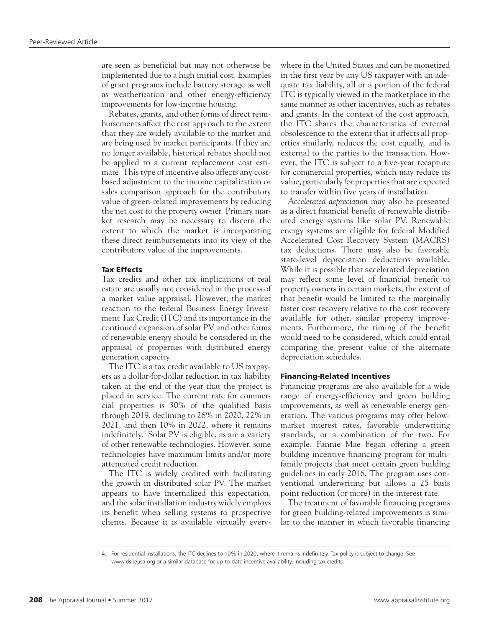are seen as beneficial but may not otherwise be implemented due to a high initial cost. Examples of grant programs include battery storage as well as weatherization and other energy-efficiency improvements for low-income housing.

Rebates, grants, and other forms of direct reimbursements affect the cost approach to the extent that they are widely available to the market and are being used by market participants. If they are no longer available, historical rebates should not be applied to a current replacement cost estimate. This type of incentive also affects any costbased adjustment to the income capitalization or sales comparison approach for the contributory value of green-related improvements by reducing the net cost to the property owner. Primary market research may be necessary to discern the extent to which the market is incorporating these direct reimbursements into its view of the contributory value of the improvements.

#### Tax Effects

Tax credits and other tax implications of real estate are usually not considered in the process of a market value appraisal. However, the market reaction to the federal Business Energy Investment Tax Credit (ITC) and its importance in the continued expansion of solar PV and other forms of renewable energy should be considered in the appraisal of properties with distributed energy generation capacity.

The ITC is a tax credit available to US taxpayers as a dollar-for-dollar reduction in tax liability taken at the end of the year that the project is placed in service. The current rate for commercial properties is 30% of the qualified basis through 2019, declining to 26% in 2020, 22% in 2021, and then 10% in 2022, where it remains indefinitely.4 Solar PV is eligible, as are a variety of other renewable technologies. However, some technologies have maximum limits and/or more attenuated credit reduction.

The ITC is widely credited with facilitating the growth in distributed solar PV. The market appears to have internalized this expectation, and the solar installation industry widely employs its benefit when selling systems to prospective clients. Because it is available virtually everywhere in the United States and can be monetized in the first year by any US taxpayer with an adequate tax liability, all or a portion of the federal ITC is typically viewed in the marketplace in the same manner as other incentives, such as rebates and grants. In the context of the cost approach, the ITC shares the characteristics of external obsolescence to the extent that it affects all properties similarly, reduces the cost equally, and is external to the parties to the transaction. However, the ITC is subject to a five-year recapture for commercial properties, which may reduce its value, particularly for properties that are expected to transfer within five years of installation.

*Accelerated depreciation* may also be presented as a direct financial benefit of renewable distributed energy systems like solar PV. Renewable energy systems are eligible for federal Modified Accelerated Cost Recovery System (MACRS) tax deductions. There may also be favorable state-level depreciation deductions available. While it is possible that accelerated depreciation may reflect some level of financial benefit to property owners in certain markets, the extent of that benefit would be limited to the marginally faster cost recovery relative to the cost recovery available for other, similar property improvements. Furthermore, the timing of the benefit would need to be considered, which could entail comparing the present value of the alternate depreciation schedules.

## Financing-Related Incentives

Financing programs are also available for a wide range of energy-efficiency and green building improvements, as well as renewable energy generation. The various programs may offer belowmarket interest rates, favorable underwriting standards, or a combination of the two. For example, Fannie Mae began offering a green building incentive financing program for multifamily projects that meet certain green building guidelines in early 2016. The program uses conventional underwriting but allows a 25 basis point reduction (or more) in the interest rate.

The treatment of favorable financing programs for green building-related improvements is similar to the manner in which favorable financing

<sup>4.</sup> For residential installations, the ITC declines to 10% in 2020, where it remains indefinitely. Tax policy is subject to change. See <www.dsireusa.org> or a similar database for up-to-date incentive availability, including tax credits.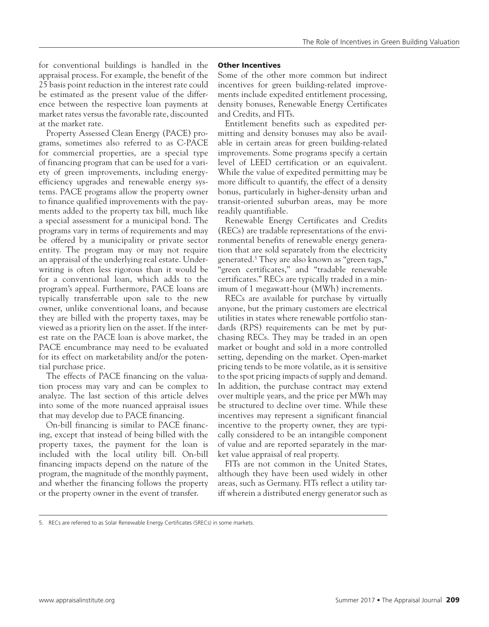for conventional buildings is handled in the appraisal process. For example, the benefit of the 25 basis point reduction in the interest rate could be estimated as the present value of the difference between the respective loan payments at market rates versus the favorable rate, discounted at the market rate.

Property Assessed Clean Energy (PACE) programs, sometimes also referred to as C-PACE for commercial properties, are a special type of financing program that can be used for a variety of green improvements, including energyefficiency upgrades and renewable energy systems. PACE programs allow the property owner to finance qualified improvements with the payments added to the property tax bill, much like a special assessment for a municipal bond. The programs vary in terms of requirements and may be offered by a municipality or private sector entity. The program may or may not require an appraisal of the underlying real estate. Underwriting is often less rigorous than it would be for a conventional loan, which adds to the program's appeal. Furthermore, PACE loans are typically transferrable upon sale to the new owner, unlike conventional loans, and because they are billed with the property taxes, may be viewed as a priority lien on the asset. If the interest rate on the PACE loan is above market, the PACE encumbrance may need to be evaluated for its effect on marketability and/or the potential purchase price.

The effects of PACE financing on the valuation process may vary and can be complex to analyze. The last section of this article delves into some of the more nuanced appraisal issues that may develop due to PACE financing.

On-bill financing is similar to PACE financing, except that instead of being billed with the property taxes, the payment for the loan is included with the local utility bill. On-bill financing impacts depend on the nature of the program, the magnitude of the monthly payment, and whether the financing follows the property or the property owner in the event of transfer.

# Other Incentives

Some of the other more common but indirect incentives for green building-related improvements include expedited entitlement processing, density bonuses, Renewable Energy Certificates and Credits, and FITs.

Entitlement benefits such as expedited permitting and density bonuses may also be available in certain areas for green building-related improvements. Some programs specify a certain level of LEED certification or an equivalent. While the value of expedited permitting may be more difficult to quantify, the effect of a density bonus, particularly in higher-density urban and transit-oriented suburban areas, may be more readily quantifiable.

Renewable Energy Certificates and Credits (RECs) are tradable representations of the environmental benefits of renewable energy generation that are sold separately from the electricity generated.5 They are also known as "green tags," "green certificates," and "tradable renewable certificates." RECs are typically traded in a minimum of 1 megawatt-hour (MWh) increments.

RECs are available for purchase by virtually anyone, but the primary customers are electrical utilities in states where renewable portfolio standards (RPS) requirements can be met by purchasing RECs. They may be traded in an open market or bought and sold in a more controlled setting, depending on the market. Open-market pricing tends to be more volatile, as it is sensitive to the spot pricing impacts of supply and demand. In addition, the purchase contract may extend over multiple years, and the price per MWh may be structured to decline over time. While these incentives may represent a significant financial incentive to the property owner, they are typically considered to be an intangible component of value and are reported separately in the market value appraisal of real property.

FITs are not common in the United States, although they have been used widely in other areas, such as Germany. FITs reflect a utility tariff wherein a distributed energy generator such as

<sup>5.</sup> RECs are referred to as Solar Renewable Energy Certificates (SRECs) in some markets.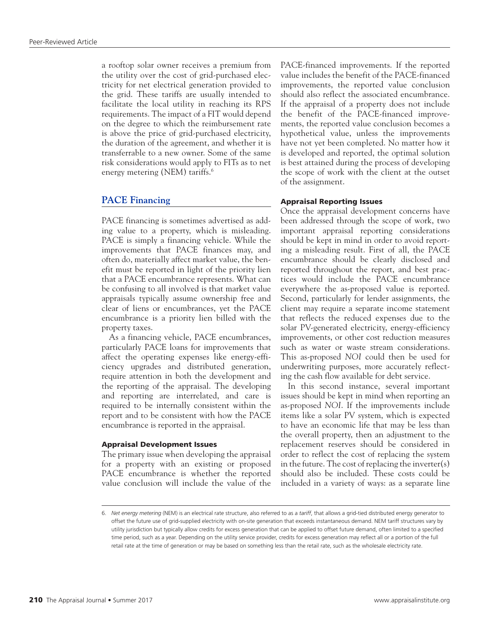a rooftop solar owner receives a premium from the utility over the cost of grid-purchased electricity for net electrical generation provided to the grid. These tariffs are usually intended to facilitate the local utility in reaching its RPS requirements. The impact of a FIT would depend on the degree to which the reimbursement rate is above the price of grid-purchased electricity, the duration of the agreement, and whether it is transferrable to a new owner. Some of the same risk considerations would apply to FITs as to net energy metering (NEM) tariffs.6

## **PACE Financing**

PACE financing is sometimes advertised as adding value to a property, which is misleading. PACE is simply a financing vehicle. While the improvements that PACE finances may, and often do, materially affect market value, the benefit must be reported in light of the priority lien that a PACE encumbrance represents. What can be confusing to all involved is that market value appraisals typically assume ownership free and clear of liens or encumbrances, yet the PACE encumbrance is a priority lien billed with the property taxes.

As a financing vehicle, PACE encumbrances, particularly PACE loans for improvements that affect the operating expenses like energy-efficiency upgrades and distributed generation, require attention in both the development and the reporting of the appraisal. The developing and reporting are interrelated, and care is required to be internally consistent within the report and to be consistent with how the PACE encumbrance is reported in the appraisal.

### Appraisal Development Issues

The primary issue when developing the appraisal for a property with an existing or proposed PACE encumbrance is whether the reported value conclusion will include the value of the

PACE-financed improvements. If the reported value includes the benefit of the PACE-financed improvements, the reported value conclusion should also reflect the associated encumbrance. If the appraisal of a property does not include the benefit of the PACE-financed improvements, the reported value conclusion becomes a hypothetical value, unless the improvements have not yet been completed. No matter how it is developed and reported, the optimal solution is best attained during the process of developing the scope of work with the client at the outset of the assignment.

# Appraisal Reporting Issues

Once the appraisal development concerns have been addressed through the scope of work, two important appraisal reporting considerations should be kept in mind in order to avoid reporting a misleading result. First of all, the PACE encumbrance should be clearly disclosed and reported throughout the report, and best practices would include the PACE encumbrance everywhere the as-proposed value is reported. Second, particularly for lender assignments, the client may require a separate income statement that reflects the reduced expenses due to the solar PV-generated electricity, energy-efficiency improvements, or other cost reduction measures such as water or waste stream considerations. This as-proposed *NOI* could then be used for underwriting purposes, more accurately reflecting the cash flow available for debt service.

In this second instance, several important issues should be kept in mind when reporting an as-proposed *NOI*. If the improvements include items like a solar PV system, which is expected to have an economic life that may be less than the overall property, then an adjustment to the replacement reserves should be considered in order to reflect the cost of replacing the system in the future. The cost of replacing the inverter(s) should also be included. These costs could be included in a variety of ways: as a separate line

<sup>6.</sup> *Net energy metering* (NEM) is an electrical rate structure, also referred to as a *tariff*, that allows a grid-tied distributed energy generator to offset the future use of grid-supplied electricity with on-site generation that exceeds instantaneous demand. NEM tariff structures vary by utility jurisdiction but typically allow credits for excess generation that can be applied to offset future demand, often limited to a specified time period, such as a year. Depending on the utility service provider, credits for excess generation may reflect all or a portion of the full retail rate at the time of generation or may be based on something less than the retail rate, such as the wholesale electricity rate.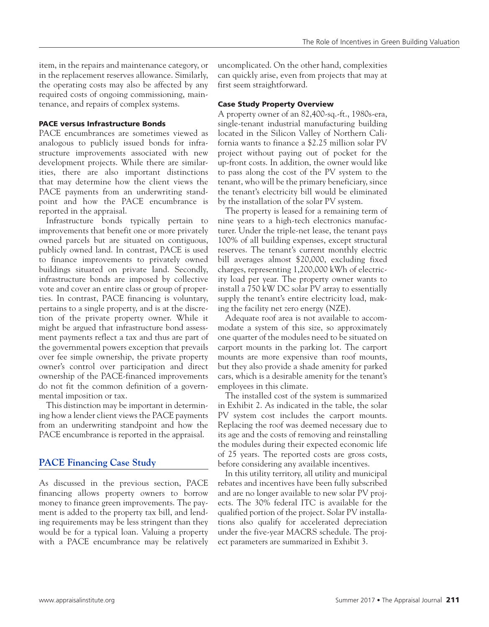item, in the repairs and maintenance category, or in the replacement reserves allowance. Similarly, the operating costs may also be affected by any required costs of ongoing commissioning, maintenance, and repairs of complex systems.

# PACE versus Infrastructure Bonds

PACE encumbrances are sometimes viewed as analogous to publicly issued bonds for infrastructure improvements associated with new development projects. While there are similarities, there are also important distinctions that may determine how the client views the PACE payments from an underwriting standpoint and how the PACE encumbrance is reported in the appraisal.

Infrastructure bonds typically pertain to improvements that benefit one or more privately owned parcels but are situated on contiguous, publicly owned land. In contrast, PACE is used to finance improvements to privately owned buildings situated on private land. Secondly, infrastructure bonds are imposed by collective vote and cover an entire class or group of properties. In contrast, PACE financing is voluntary, pertains to a single property, and is at the discretion of the private property owner. While it might be argued that infrastructure bond assessment payments reflect a tax and thus are part of the governmental powers exception that prevails over fee simple ownership, the private property owner's control over participation and direct ownership of the PACE-financed improvements do not fit the common definition of a governmental imposition or tax.

This distinction may be important in determining how a lender client views the PACE payments from an underwriting standpoint and how the PACE encumbrance is reported in the appraisal.

# **PACE Financing Case Study**

As discussed in the previous section, PACE financing allows property owners to borrow money to finance green improvements. The payment is added to the property tax bill, and lending requirements may be less stringent than they would be for a typical loan. Valuing a property with a PACE encumbrance may be relatively

uncomplicated. On the other hand, complexities can quickly arise, even from projects that may at first seem straightforward.

# Case Study Property Overview

A property owner of an 82,400-sq.-ft., 1980s-era, single-tenant industrial manufacturing building located in the Silicon Valley of Northern California wants to finance a \$2.25 million solar PV project without paying out of pocket for the up-front costs. In addition, the owner would like to pass along the cost of the PV system to the tenant, who will be the primary beneficiary, since the tenant's electricity bill would be eliminated by the installation of the solar PV system.

The property is leased for a remaining term of nine years to a high-tech electronics manufacturer. Under the triple-net lease, the tenant pays 100% of all building expenses, except structural reserves. The tenant's current monthly electric bill averages almost \$20,000, excluding fixed charges, representing 1,200,000 kWh of electricity load per year. The property owner wants to install a 750 kW DC solar PV array to essentially supply the tenant's entire electricity load, making the facility net zero energy (NZE).

Adequate roof area is not available to accommodate a system of this size, so approximately one quarter of the modules need to be situated on carport mounts in the parking lot. The carport mounts are more expensive than roof mounts, but they also provide a shade amenity for parked cars, which is a desirable amenity for the tenant's employees in this climate.

The installed cost of the system is summarized in Exhibit 2. As indicated in the table, the solar PV system cost includes the carport mounts. Replacing the roof was deemed necessary due to its age and the costs of removing and reinstalling the modules during their expected economic life of 25 years. The reported costs are gross costs, before considering any available incentives.

In this utility territory, all utility and municipal rebates and incentives have been fully subscribed and are no longer available to new solar PV projects. The 30% federal ITC is available for the qualified portion of the project. Solar PV installations also qualify for accelerated depreciation under the five-year MACRS schedule. The project parameters are summarized in Exhibit 3.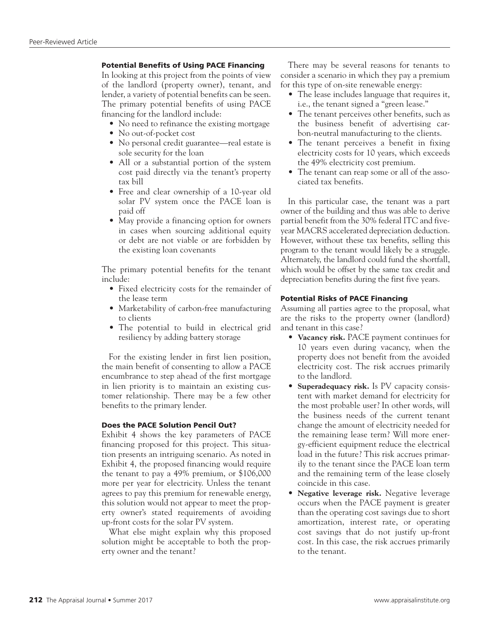# Potential Benefits of Using PACE Financing

In looking at this project from the points of view of the landlord (property owner), tenant, and lender, a variety of potential benefits can be seen. The primary potential benefits of using PACE financing for the landlord include:

- No need to refinance the existing mortgage
- No out-of-pocket cost
- No personal credit guarantee—real estate is sole security for the loan
- All or a substantial portion of the system cost paid directly via the tenant's property tax bill
- Free and clear ownership of a 10-year old solar PV system once the PACE loan is paid off
- May provide a financing option for owners in cases when sourcing additional equity or debt are not viable or are forbidden by the existing loan covenants

The primary potential benefits for the tenant include:

- Fixed electricity costs for the remainder of the lease term
- Marketability of carbon-free manufacturing to clients
- The potential to build in electrical grid resiliency by adding battery storage

For the existing lender in first lien position, the main benefit of consenting to allow a PACE encumbrance to step ahead of the first mortgage in lien priority is to maintain an existing customer relationship. There may be a few other benefits to the primary lender.

## Does the PACE Solution Pencil Out?

Exhibit 4 shows the key parameters of PACE financing proposed for this project. This situation presents an intriguing scenario. As noted in Exhibit 4, the proposed financing would require the tenant to pay a 49% premium, or \$106,000 more per year for electricity. Unless the tenant agrees to pay this premium for renewable energy, this solution would not appear to meet the property owner's stated requirements of avoiding up-front costs for the solar PV system.

What else might explain why this proposed solution might be acceptable to both the property owner and the tenant?

There may be several reasons for tenants to consider a scenario in which they pay a premium for this type of on-site renewable energy:

- The lease includes language that requires it, i.e., the tenant signed a "green lease."
- The tenant perceives other benefits, such as the business benefit of advertising carbon-neutral manufacturing to the clients.
- The tenant perceives a benefit in fixing electricity costs for 10 years, which exceeds the 49% electricity cost premium.
- The tenant can reap some or all of the associated tax benefits.

In this particular case, the tenant was a part owner of the building and thus was able to derive partial benefit from the 30% federal ITC and fiveyear MACRS accelerated depreciation deduction. However, without these tax benefits, selling this program to the tenant would likely be a struggle. Alternately, the landlord could fund the shortfall, which would be offset by the same tax credit and depreciation benefits during the first five years.

# Potential Risks of PACE Financing

Assuming all parties agree to the proposal, what are the risks to the property owner (landlord) and tenant in this case?

- **Vacancy risk.** PACE payment continues for 10 years even during vacancy, when the property does not benefit from the avoided electricity cost. The risk accrues primarily to the landlord.
- **Superadequacy risk.** Is PV capacity consistent with market demand for electricity for the most probable user? In other words, will the business needs of the current tenant change the amount of electricity needed for the remaining lease term? Will more energy-efficient equipment reduce the electrical load in the future? This risk accrues primarily to the tenant since the PACE loan term and the remaining term of the lease closely coincide in this case.
- **Negative leverage risk.** Negative leverage occurs when the PACE payment is greater than the operating cost savings due to short amortization, interest rate, or operating cost savings that do not justify up-front cost. In this case, the risk accrues primarily to the tenant.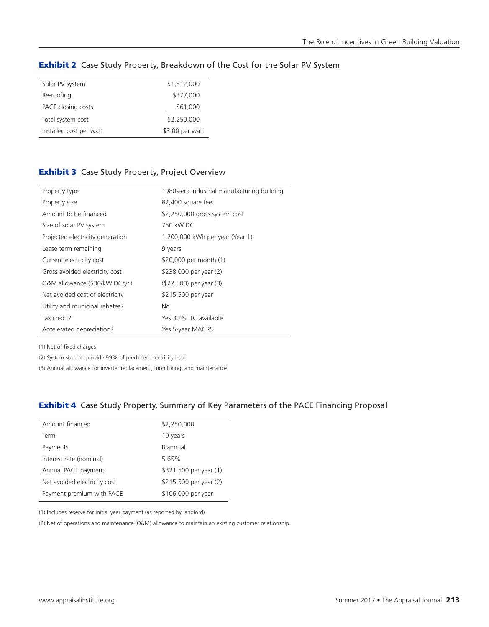| Solar PV system         | \$1,812,000     |
|-------------------------|-----------------|
| Re-roofing              | \$377,000       |
| PACE closing costs      | \$61,000        |
| Total system cost       | \$2,250,000     |
| Installed cost per watt | \$3.00 per watt |

# **Exhibit 2** Case Study Property, Breakdown of the Cost for the Solar PV System

# **Exhibit 3** Case Study Property, Project Overview

| Property type                    | 1980s-era industrial manufacturing building |
|----------------------------------|---------------------------------------------|
| Property size                    | 82,400 square feet                          |
| Amount to be financed            | \$2,250,000 gross system cost               |
| Size of solar PV system          | 750 kW DC                                   |
| Projected electricity generation | 1,200,000 kWh per year (Year 1)             |
| Lease term remaining             | 9 years                                     |
| Current electricity cost         | \$20,000 per month (1)                      |
| Gross avoided electricity cost   | \$238,000 per year (2)                      |
| O&M allowance (\$30/kW DC/yr.)   | (\$22,500) per year (3)                     |
| Net avoided cost of electricity  | \$215,500 per year                          |
| Utility and municipal rebates?   | No.                                         |
| Tax credit?                      | Yes 30% ITC available                       |
| Accelerated depreciation?        | Yes 5-year MACRS                            |

(1) Net of fixed charges

(2) System sized to provide 99% of predicted electricity load

(3) Annual allowance for inverter replacement, monitoring, and maintenance

# **Exhibit 4** Case Study Property, Summary of Key Parameters of the PACE Financing Proposal

| Amount financed              | \$2,250,000            |
|------------------------------|------------------------|
| Term                         | 10 years               |
| Payments                     | Biannual               |
| Interest rate (nominal)      | 5.65%                  |
| Annual PACE payment          | \$321,500 per year (1) |
| Net avoided electricity cost | \$215,500 per year (2) |
| Payment premium with PACE    | \$106,000 per year     |
|                              |                        |

(1) Includes reserve for initial year payment (as reported by landlord)

(2) Net of operations and maintenance (O&M) allowance to maintain an existing customer relationship.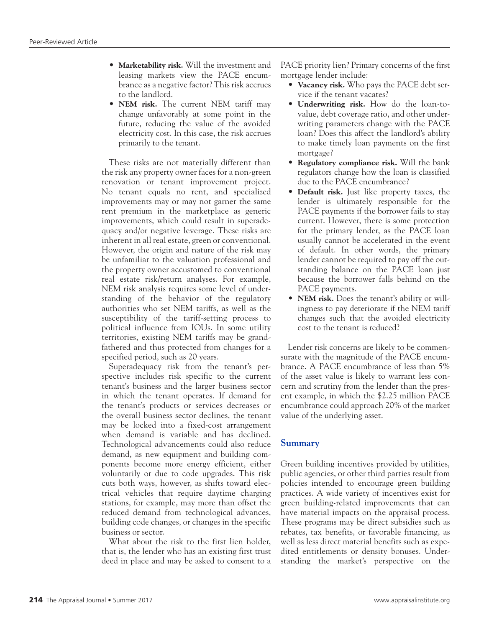- **Marketability risk.** Will the investment and leasing markets view the PACE encumbrance as a negative factor? This risk accrues to the landlord.
- **NEM risk.** The current NEM tariff may change unfavorably at some point in the future, reducing the value of the avoided electricity cost. In this case, the risk accrues primarily to the tenant.

These risks are not materially different than the risk any property owner faces for a non-green renovation or tenant improvement project. No tenant equals no rent, and specialized improvements may or may not garner the same rent premium in the marketplace as generic improvements, which could result in superadequacy and/or negative leverage. These risks are inherent in all real estate, green or conventional. However, the origin and nature of the risk may be unfamiliar to the valuation professional and the property owner accustomed to conventional real estate risk/return analyses. For example, NEM risk analysis requires some level of understanding of the behavior of the regulatory authorities who set NEM tariffs, as well as the susceptibility of the tariff-setting process to political influence from IOUs. In some utility territories, existing NEM tariffs may be grandfathered and thus protected from changes for a specified period, such as 20 years.

Superadequacy risk from the tenant's perspective includes risk specific to the current tenant's business and the larger business sector in which the tenant operates. If demand for the tenant's products or services decreases or the overall business sector declines, the tenant may be locked into a fixed-cost arrangement when demand is variable and has declined. Technological advancements could also reduce demand, as new equipment and building components become more energy efficient, either voluntarily or due to code upgrades. This risk cuts both ways, however, as shifts toward electrical vehicles that require daytime charging stations, for example, may more than offset the reduced demand from technological advances, building code changes, or changes in the specific business or sector.

What about the risk to the first lien holder, that is, the lender who has an existing first trust deed in place and may be asked to consent to a PACE priority lien? Primary concerns of the first mortgage lender include:

- **Vacancy risk.** Who pays the PACE debt service if the tenant vacates?
- **Underwriting risk.** How do the loan-tovalue, debt coverage ratio, and other underwriting parameters change with the PACE loan? Does this affect the landlord's ability to make timely loan payments on the first mortgage?
- **Regulatory compliance risk.** Will the bank regulators change how the loan is classified due to the PACE encumbrance?
- **Default risk.** Just like property taxes, the lender is ultimately responsible for the PACE payments if the borrower fails to stay current. However, there is some protection for the primary lender, as the PACE loan usually cannot be accelerated in the event of default. In other words, the primary lender cannot be required to pay off the outstanding balance on the PACE loan just because the borrower falls behind on the PACE payments.
- **NEM risk.** Does the tenant's ability or willingness to pay deteriorate if the NEM tariff changes such that the avoided electricity cost to the tenant is reduced?

Lender risk concerns are likely to be commensurate with the magnitude of the PACE encumbrance. A PACE encumbrance of less than 5% of the asset value is likely to warrant less concern and scrutiny from the lender than the present example, in which the \$2.25 million PACE encumbrance could approach 20% of the market value of the underlying asset.

# **Summary**

Green building incentives provided by utilities, public agencies, or other third parties result from policies intended to encourage green building practices. A wide variety of incentives exist for green building-related improvements that can have material impacts on the appraisal process. These programs may be direct subsidies such as rebates, tax benefits, or favorable financing, as well as less direct material benefits such as expedited entitlements or density bonuses. Understanding the market's perspective on the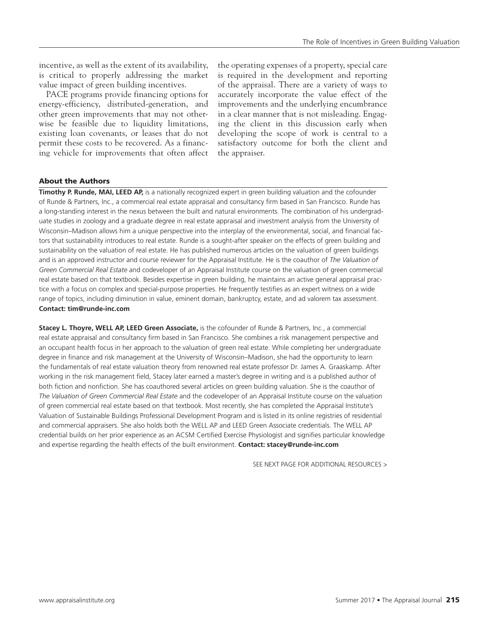incentive, as well as the extent of its availability, is critical to properly addressing the market value impact of green building incentives.

PACE programs provide financing options for energy-efficiency, distributed-generation, and other green improvements that may not otherwise be feasible due to liquidity limitations, existing loan covenants, or leases that do not permit these costs to be recovered. As a financing vehicle for improvements that often affect

the operating expenses of a property, special care is required in the development and reporting of the appraisal. There are a variety of ways to accurately incorporate the value effect of the improvements and the underlying encumbrance in a clear manner that is not misleading. Engaging the client in this discussion early when developing the scope of work is central to a satisfactory outcome for both the client and the appraiser.

## About the Authors

**Timothy P. Runde, MAI, LEED AP,** is a nationally recognized expert in green building valuation and the cofounder of Runde & Partners, Inc., a commercial real estate appraisal and consultancy firm based in San Francisco. Runde has a long-standing interest in the nexus between the built and natural environments. The combination of his undergraduate studies in zoology and a graduate degree in real estate appraisal and investment analysis from the University of Wisconsin–Madison allows him a unique perspective into the interplay of the environmental, social, and financial factors that sustainability introduces to real estate. Runde is a sought-after speaker on the effects of green building and sustainability on the valuation of real estate. He has published numerous articles on the valuation of green buildings and is an approved instructor and course reviewer for the Appraisal Institute. He is the coauthor of *The Valuation of Green Commercial Real Estate* and codeveloper of an Appraisal Institute course on the valuation of green commercial real estate based on that textbook. Besides expertise in green building, he maintains an active general appraisal practice with a focus on complex and special-purpose properties. He frequently testifies as an expert witness on a wide range of topics, including diminution in value, eminent domain, bankruptcy, estate, and ad valorem tax assessment. **Contact: tim[@runde-inc.com](runde-inc.com)**

**Stacey L. Thoyre, WELL AP, LEED Green Associate,** is the cofounder of Runde & Partners, Inc., a commercial real estate appraisal and consultancy firm based in San Francisco. She combines a risk management perspective and an occupant health focus in her approach to the valuation of green real estate. While completing her undergraduate degree in finance and risk management at the University of Wisconsin–Madison, she had the opportunity to learn the fundamentals of real estate valuation theory from renowned real estate professor Dr. James A. Graaskamp. After working in the risk management field, Stacey later earned a master's degree in writing and is a published author of both fiction and nonfiction. She has coauthored several articles on green building valuation. She is the coauthor of *The Valuation of Green Commercial Real Estate* and the codeveloper of an Appraisal Institute course on the valuation of green commercial real estate based on that textbook. Most recently, she has completed the Appraisal Institute's Valuation of Sustainable Buildings Professional Development Program and is listed in its online registries of residential and commercial appraisers. She also holds both the WELL AP and LEED Green Associate credentials. The WELL AP credential builds on her prior experience as an ACSM Certified Exercise Physiologist and signifies particular knowledge and expertise regarding the health effects of the built environment. **Contact: stacey[@runde-inc.com](runde-inc.com)**

SEE NEXT PAGE FOR ADDITIONAL RESOURCES >